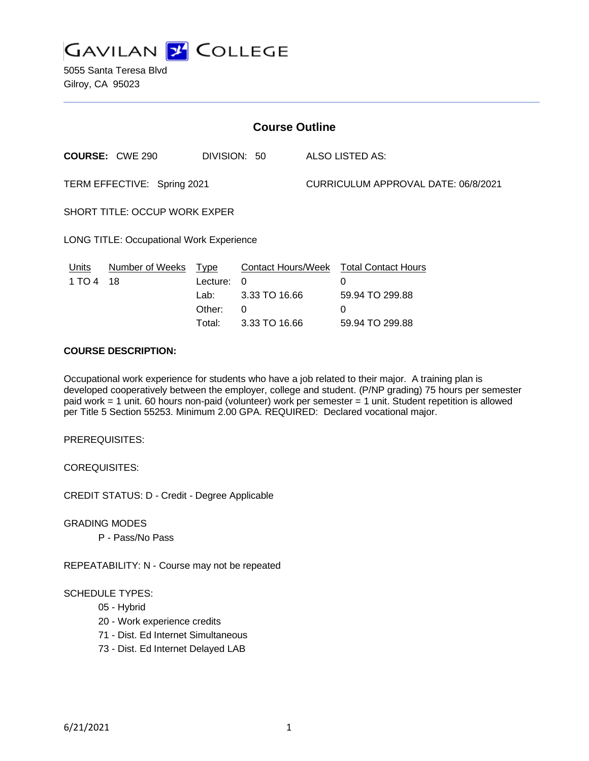

5055 Santa Teresa Blvd Gilroy, CA 95023

| <b>Course Outline</b>                           |                                                     |               |                                     |                                                                            |
|-------------------------------------------------|-----------------------------------------------------|---------------|-------------------------------------|----------------------------------------------------------------------------|
| <b>COURSE: CWE 290</b>                          |                                                     |               |                                     | ALSO LISTED AS:                                                            |
| TERM EFFECTIVE: Spring 2021                     |                                                     |               | CURRICULUM APPROVAL DATE: 06/8/2021 |                                                                            |
| <b>SHORT TITLE: OCCUP WORK EXPER</b>            |                                                     |               |                                     |                                                                            |
| <b>LONG TITLE: Occupational Work Experience</b> |                                                     |               |                                     |                                                                            |
| <b>Number of Weeks</b><br>18                    | <u>Type</u><br>Lecture:<br>Lab:<br>Other:<br>Total: | $\Omega$<br>0 |                                     | <b>Total Contact Hours</b><br>0<br>59.94 TO 299.88<br>0<br>59.94 TO 299.88 |
|                                                 |                                                     |               | DIVISION: 50                        | <b>Contact Hours/Week</b><br>3.33 TO 16.66<br>3.33 TO 16.66                |

## **COURSE DESCRIPTION:**

Occupational work experience for students who have a job related to their major. A training plan is developed cooperatively between the employer, college and student. (P/NP grading) 75 hours per semester paid work = 1 unit. 60 hours non-paid (volunteer) work per semester = 1 unit. Student repetition is allowed per Title 5 Section 55253. Minimum 2.00 GPA. REQUIRED: Declared vocational major.

PREREQUISITES:

COREQUISITES:

CREDIT STATUS: D - Credit - Degree Applicable

GRADING MODES

P - Pass/No Pass

REPEATABILITY: N - Course may not be repeated

## SCHEDULE TYPES:

- 05 Hybrid
- 20 Work experience credits
- 71 Dist. Ed Internet Simultaneous
- 73 Dist. Ed Internet Delayed LAB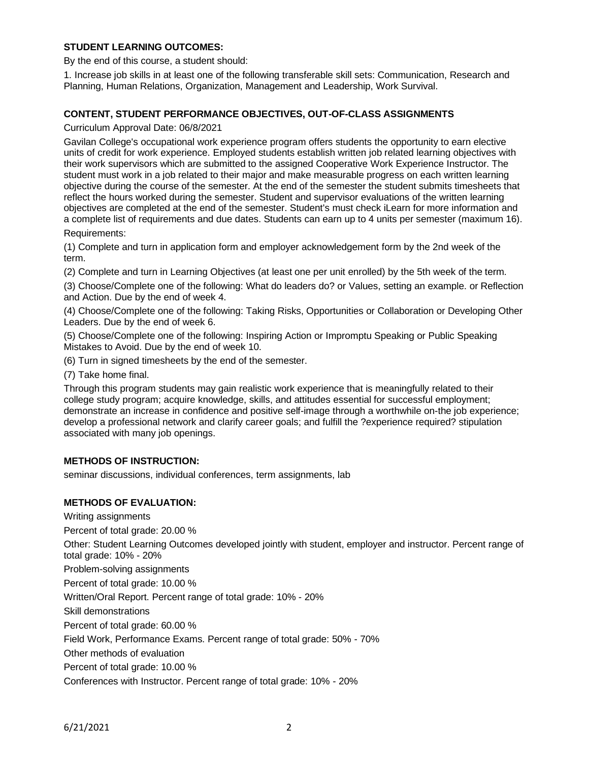## **STUDENT LEARNING OUTCOMES:**

By the end of this course, a student should:

1. Increase job skills in at least one of the following transferable skill sets: Communication, Research and Planning, Human Relations, Organization, Management and Leadership, Work Survival.

### **CONTENT, STUDENT PERFORMANCE OBJECTIVES, OUT-OF-CLASS ASSIGNMENTS**

Curriculum Approval Date: 06/8/2021

Gavilan College's occupational work experience program offers students the opportunity to earn elective units of credit for work experience. Employed students establish written job related learning objectives with their work supervisors which are submitted to the assigned Cooperative Work Experience Instructor. The student must work in a job related to their major and make measurable progress on each written learning objective during the course of the semester. At the end of the semester the student submits timesheets that reflect the hours worked during the semester. Student and supervisor evaluations of the written learning objectives are completed at the end of the semester. Student's must check iLearn for more information and a complete list of requirements and due dates. Students can earn up to 4 units per semester (maximum 16). Requirements:

(1) Complete and turn in application form and employer acknowledgement form by the 2nd week of the term.

(2) Complete and turn in Learning Objectives (at least one per unit enrolled) by the 5th week of the term.

(3) Choose/Complete one of the following: What do leaders do? or Values, setting an example. or Reflection and Action. Due by the end of week 4.

(4) Choose/Complete one of the following: Taking Risks, Opportunities or Collaboration or Developing Other Leaders. Due by the end of week 6.

(5) Choose/Complete one of the following: Inspiring Action or Impromptu Speaking or Public Speaking Mistakes to Avoid. Due by the end of week 10.

(6) Turn in signed timesheets by the end of the semester.

(7) Take home final.

Through this program students may gain realistic work experience that is meaningfully related to their college study program; acquire knowledge, skills, and attitudes essential for successful employment; demonstrate an increase in confidence and positive self-image through a worthwhile on-the job experience; develop a professional network and clarify career goals; and fulfill the ?experience required? stipulation associated with many job openings.

#### **METHODS OF INSTRUCTION:**

seminar discussions, individual conferences, term assignments, lab

## **METHODS OF EVALUATION:**

Writing assignments

Percent of total grade: 20.00 %

Other: Student Learning Outcomes developed jointly with student, employer and instructor. Percent range of total grade: 10% - 20%

Problem-solving assignments

Percent of total grade: 10.00 %

Written/Oral Report. Percent range of total grade: 10% - 20%

Skill demonstrations

Percent of total grade: 60.00 %

Field Work, Performance Exams. Percent range of total grade: 50% - 70%

Other methods of evaluation

Percent of total grade: 10.00 %

Conferences with Instructor. Percent range of total grade: 10% - 20%